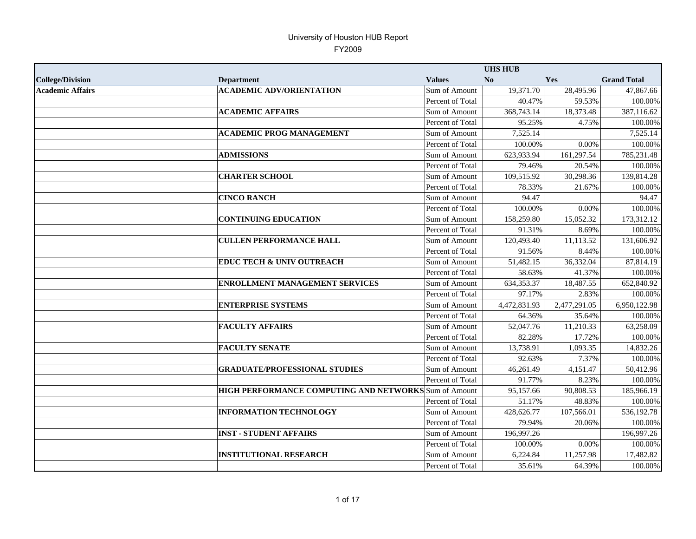|                         |                                                       |                  | <b>UHS HUB</b> |              |                    |
|-------------------------|-------------------------------------------------------|------------------|----------------|--------------|--------------------|
| <b>College/Division</b> | <b>Department</b>                                     | <b>Values</b>    | No             | Yes          | <b>Grand Total</b> |
| <b>Academic Affairs</b> | <b>ACADEMIC ADV/ORIENTATION</b>                       | Sum of Amount    | 19,371.70      | 28,495.96    | 47,867.66          |
|                         |                                                       | Percent of Total | 40.47%         | 59.53%       | 100.00%            |
|                         | <b>ACADEMIC AFFAIRS</b>                               | Sum of Amount    | 368,743.14     | 18,373.48    | 387,116.62         |
|                         |                                                       | Percent of Total | 95.25%         | 4.75%        | 100.00%            |
|                         | <b>ACADEMIC PROG MANAGEMENT</b>                       | Sum of Amount    | 7.525.14       |              | 7,525.14           |
|                         |                                                       | Percent of Total | 100.00%        | 0.00%        | 100.00%            |
|                         | <b>ADMISSIONS</b>                                     | Sum of Amount    | 623,933.94     | 161,297.54   | 785,231.48         |
|                         |                                                       | Percent of Total | 79.46%         | 20.54%       | 100.00%            |
|                         | <b>CHARTER SCHOOL</b>                                 | Sum of Amount    | 109,515.92     | 30,298.36    | 139,814.28         |
|                         |                                                       | Percent of Total | 78.33%         | 21.67%       | 100.00%            |
|                         | <b>CINCO RANCH</b>                                    | Sum of Amount    | 94.47          |              | 94.47              |
|                         |                                                       | Percent of Total | 100.00%        | 0.00%        | 100.00%            |
|                         | <b>CONTINUING EDUCATION</b>                           | Sum of Amount    | 158,259.80     | 15,052.32    | 173,312.12         |
|                         |                                                       | Percent of Total | 91.31%         | 8.69%        | 100.00%            |
|                         | <b>CULLEN PERFORMANCE HALL</b>                        | Sum of Amount    | 120,493.40     | 11,113.52    | 131,606.92         |
|                         |                                                       | Percent of Total | 91.56%         | 8.44%        | 100.00%            |
|                         | <b>EDUC TECH &amp; UNIV OUTREACH</b>                  | Sum of Amount    | 51,482.15      | 36,332.04    | 87,814.19          |
|                         |                                                       | Percent of Total | 58.63%         | 41.37%       | 100.00%            |
|                         | <b>ENROLLMENT MANAGEMENT SERVICES</b>                 | Sum of Amount    | 634, 353. 37   | 18,487.55    | 652,840.92         |
|                         |                                                       | Percent of Total | 97.17%         | 2.83%        | 100.00%            |
|                         | <b>ENTERPRISE SYSTEMS</b>                             | Sum of Amount    | 4,472,831.93   | 2,477,291.05 | 6,950,122.98       |
|                         |                                                       | Percent of Total | 64.36%         | 35.64%       | 100.00%            |
|                         | <b>FACULTY AFFAIRS</b>                                | Sum of Amount    | 52,047.76      | 11,210.33    | 63,258.09          |
|                         |                                                       | Percent of Total | 82.28%         | 17.72%       | 100.00%            |
|                         | <b>FACULTY SENATE</b>                                 | Sum of Amount    | 13,738.91      | 1,093.35     | 14,832.26          |
|                         |                                                       | Percent of Total | 92.63%         | 7.37%        | 100.00%            |
|                         | <b>GRADUATE/PROFESSIONAL STUDIES</b>                  | Sum of Amount    | 46,261.49      | 4,151.47     | 50,412.96          |
|                         |                                                       | Percent of Total | 91.77%         | 8.23%        | 100.00%            |
|                         | HIGH PERFORMANCE COMPUTING AND NETWORKS Sum of Amount |                  | 95,157.66      | 90,808.53    | 185,966.19         |
|                         |                                                       | Percent of Total | 51.17%         | 48.83%       | 100.00%            |
|                         | <b>INFORMATION TECHNOLOGY</b>                         | Sum of Amount    | 428,626.77     | 107,566.01   | 536,192.78         |
|                         |                                                       | Percent of Total | 79.94%         | 20.06%       | 100.00%            |
|                         | <b>INST - STUDENT AFFAIRS</b>                         | Sum of Amount    | 196,997.26     |              | 196,997.26         |
|                         |                                                       | Percent of Total | 100.00%        | 0.00%        | 100.00%            |
|                         | <b>INSTITUTIONAL RESEARCH</b>                         | Sum of Amount    | 6,224.84       | 11,257.98    | 17,482.82          |
|                         |                                                       | Percent of Total | 35.61%         | 64.39%       | 100.00%            |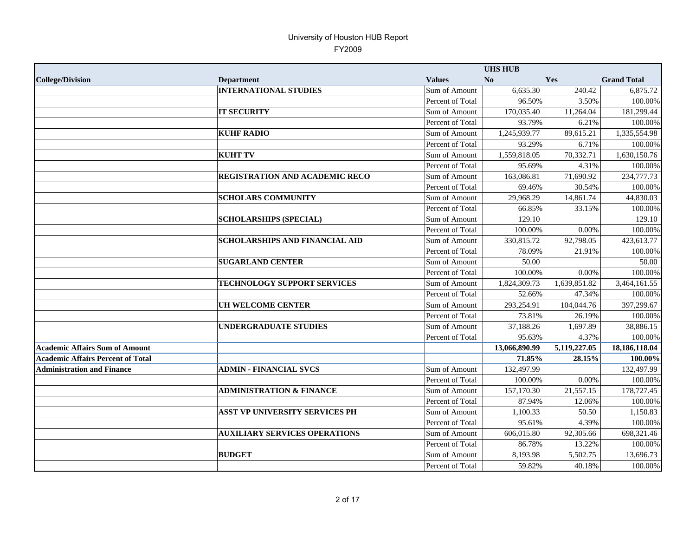|                                          |                                       |                  | <b>UHS HUB</b> |              |                    |
|------------------------------------------|---------------------------------------|------------------|----------------|--------------|--------------------|
| <b>College/Division</b>                  | <b>Department</b>                     | <b>Values</b>    | N <sub>0</sub> | Yes          | <b>Grand Total</b> |
|                                          | <b>INTERNATIONAL STUDIES</b>          | Sum of Amount    | 6,635.30       | 240.42       | 6,875.72           |
|                                          |                                       | Percent of Total | 96.50%         | 3.50%        | $100.00\%$         |
|                                          | <b>IT SECURITY</b>                    | Sum of Amount    | 170,035.40     | 11,264.04    | 181,299.44         |
|                                          |                                       | Percent of Total | 93.79%         | 6.21%        | 100.00%            |
|                                          | <b>KUHF RADIO</b>                     | Sum of Amount    | 1,245,939.77   | 89,615.21    | 1,335,554.98       |
|                                          |                                       | Percent of Total | 93.29%         | 6.71%        | 100.00%            |
|                                          | <b>KUHT TV</b>                        | Sum of Amount    | 1,559,818.05   | 70,332.71    | 1,630,150.76       |
|                                          |                                       | Percent of Total | 95.69%         | 4.31%        | 100.00%            |
|                                          | <b>REGISTRATION AND ACADEMIC RECO</b> | Sum of Amount    | 163,086.81     | 71,690.92    | 234,777.73         |
|                                          |                                       | Percent of Total | 69.46%         | 30.54%       | 100.00%            |
|                                          | <b>SCHOLARS COMMUNITY</b>             | Sum of Amount    | 29,968.29      | 14,861.74    | 44,830.03          |
|                                          |                                       | Percent of Total | 66.85%         | 33.15%       | 100.00%            |
|                                          | <b>SCHOLARSHIPS (SPECIAL)</b>         | Sum of Amount    | 129.10         |              | 129.10             |
|                                          |                                       | Percent of Total | 100.00%        | 0.00%        | 100.00%            |
|                                          | <b>SCHOLARSHIPS AND FINANCIAL AID</b> | Sum of Amount    | 330,815.72     | 92,798.05    | 423,613.77         |
|                                          |                                       | Percent of Total | 78.09%         | 21.91%       | 100.00%            |
|                                          | <b>SUGARLAND CENTER</b>               | Sum of Amount    | 50.00          |              | 50.00              |
|                                          |                                       | Percent of Total | 100.00%        | 0.00%        | 100.00%            |
|                                          | <b>TECHNOLOGY SUPPORT SERVICES</b>    | Sum of Amount    | 1,824,309.73   | 1,639,851.82 | 3,464,161.55       |
|                                          |                                       | Percent of Total | 52.66%         | 47.34%       | 100.00%            |
|                                          | <b>UH WELCOME CENTER</b>              | Sum of Amount    | 293,254.91     | 104,044.76   | 397,299.67         |
|                                          |                                       | Percent of Total | 73.81%         | 26.19%       | 100.00%            |
|                                          | <b>UNDERGRADUATE STUDIES</b>          | Sum of Amount    | 37,188.26      | 1,697.89     | 38,886.15          |
|                                          |                                       | Percent of Total | 95.63%         | 4.37%        | 100.00%            |
| <b>Academic Affairs Sum of Amount</b>    |                                       |                  | 13,066,890.99  | 5,119,227.05 | 18,186,118.04      |
| <b>Academic Affairs Percent of Total</b> |                                       |                  | 71.85%         | 28.15%       | 100.00%            |
| <b>Administration and Finance</b>        | <b>ADMIN - FINANCIAL SVCS</b>         | Sum of Amount    | 132,497.99     |              | 132,497.99         |
|                                          |                                       | Percent of Total | 100.00%        | 0.00%        | 100.00%            |
|                                          | <b>ADMINISTRATION &amp; FINANCE</b>   | Sum of Amount    | 157,170.30     | 21,557.15    | 178,727.45         |
|                                          |                                       | Percent of Total | 87.94%         | 12.06%       | 100.00%            |
|                                          | <b>ASST VP UNIVERSITY SERVICES PH</b> | Sum of Amount    | 1,100.33       | 50.50        | 1,150.83           |
|                                          |                                       | Percent of Total | 95.61%         | 4.39%        | 100.00%            |
|                                          | <b>AUXILIARY SERVICES OPERATIONS</b>  | Sum of Amount    | 606,015.80     | 92,305.66    | 698,321.46         |
|                                          |                                       | Percent of Total | 86.78%         | 13.22%       | 100.00%            |
|                                          | <b>BUDGET</b>                         | Sum of Amount    | 8,193.98       | 5,502.75     | 13,696.73          |
|                                          |                                       | Percent of Total | 59.82%         | 40.18%       | 100.00%            |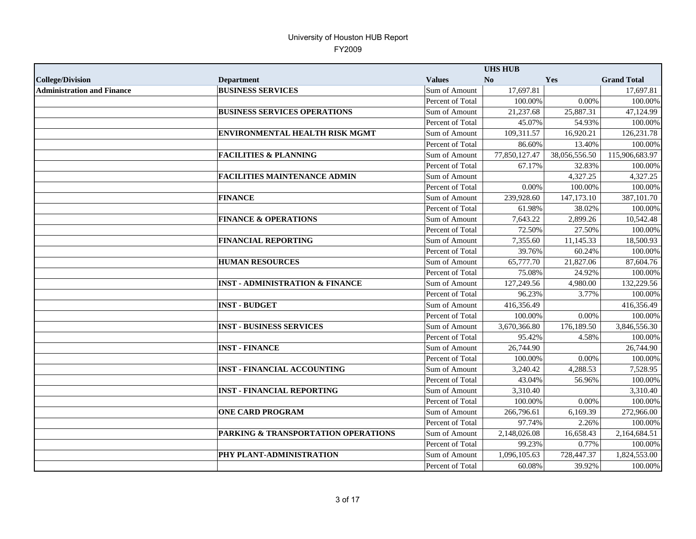|                                   |                                            |                  | <b>UHS HUB</b> |               |                    |
|-----------------------------------|--------------------------------------------|------------------|----------------|---------------|--------------------|
| <b>College/Division</b>           | <b>Department</b>                          | <b>Values</b>    | No             | Yes           | <b>Grand Total</b> |
| <b>Administration and Finance</b> | <b>BUSINESS SERVICES</b>                   | Sum of Amount    | 17,697.81      |               | 17,697.81          |
|                                   |                                            | Percent of Total | 100.00%        | 0.00%         | 100.00%            |
|                                   | <b>BUSINESS SERVICES OPERATIONS</b>        | Sum of Amount    | 21,237.68      | 25,887.31     | 47,124.99          |
|                                   |                                            | Percent of Total | 45.07%         | 54.93%        | 100.00%            |
|                                   | <b>ENVIRONMENTAL HEALTH RISK MGMT</b>      | Sum of Amount    | 109,311.57     | 16,920.21     | 126,231.78         |
|                                   |                                            | Percent of Total | 86.60%         | 13.40%        | 100.00%            |
|                                   | <b>FACILITIES &amp; PLANNING</b>           | Sum of Amount    | 77,850,127.47  | 38,056,556.50 | 115,906,683.97     |
|                                   |                                            | Percent of Total | 67.17%         | 32.83%        | 100.00%            |
|                                   | <b>FACILITIES MAINTENANCE ADMIN</b>        | Sum of Amount    |                | 4,327.25      | 4,327.25           |
|                                   |                                            | Percent of Total | 0.00%          | 100.00%       | 100.00%            |
|                                   | <b>FINANCE</b>                             | Sum of Amount    | 239,928.60     | 147,173.10    | 387,101.70         |
|                                   |                                            | Percent of Total | 61.98%         | 38.02%        | 100.00%            |
|                                   | <b>FINANCE &amp; OPERATIONS</b>            | Sum of Amount    | 7,643.22       | 2,899.26      | 10,542.48          |
|                                   |                                            | Percent of Total | 72.50%         | 27.50%        | 100.00%            |
|                                   | <b>FINANCIAL REPORTING</b>                 | Sum of Amount    | 7,355.60       | 11,145.33     | 18,500.93          |
|                                   |                                            | Percent of Total | 39.76%         | 60.24%        | 100.00%            |
|                                   | <b>HUMAN RESOURCES</b>                     | Sum of Amount    | 65,777.70      | 21,827.06     | 87,604.76          |
|                                   |                                            | Percent of Total | 75.08%         | 24.92%        | 100.00%            |
|                                   | <b>INST - ADMINISTRATION &amp; FINANCE</b> | Sum of Amount    | 127,249.56     | 4,980.00      | 132,229.56         |
|                                   |                                            | Percent of Total | 96.23%         | 3.77%         | 100.00%            |
|                                   | <b>INST-BUDGET</b>                         | Sum of Amount    | 416,356.49     |               | 416,356.49         |
|                                   |                                            | Percent of Total | 100.00%        | 0.00%         | 100.00%            |
|                                   | <b>INST - BUSINESS SERVICES</b>            | Sum of Amount    | 3,670,366.80   | 176,189.50    | 3,846,556.30       |
|                                   |                                            | Percent of Total | 95.42%         | 4.58%         | 100.00%            |
|                                   | <b>INST - FINANCE</b>                      | Sum of Amount    | 26,744.90      |               | 26,744.90          |
|                                   |                                            | Percent of Total | 100.00%        | 0.00%         | 100.00%            |
|                                   | <b>INST - FINANCIAL ACCOUNTING</b>         | Sum of Amount    | 3,240.42       | 4,288.53      | 7,528.95           |
|                                   |                                            | Percent of Total | 43.04%         | 56.96%        | 100.00%            |
|                                   | <b>INST - FINANCIAL REPORTING</b>          | Sum of Amount    | 3,310.40       |               | 3,310.40           |
|                                   |                                            | Percent of Total | 100.00%        | 0.00%         | 100.00%            |
|                                   | <b>ONE CARD PROGRAM</b>                    | Sum of Amount    | 266,796.61     | 6,169.39      | 272,966.00         |
|                                   |                                            | Percent of Total | 97.74%         | 2.26%         | 100.00%            |
|                                   | PARKING & TRANSPORTATION OPERATIONS        | Sum of Amount    | 2,148,026.08   | 16,658.43     | 2,164,684.51       |
|                                   |                                            | Percent of Total | 99.23%         | 0.77%         | 100.00%            |
|                                   | PHY PLANT-ADMINISTRATION                   | Sum of Amount    | 1,096,105.63   | 728,447.37    | 1,824,553.00       |
|                                   |                                            | Percent of Total | 60.08%         | 39.92%        | 100.00%            |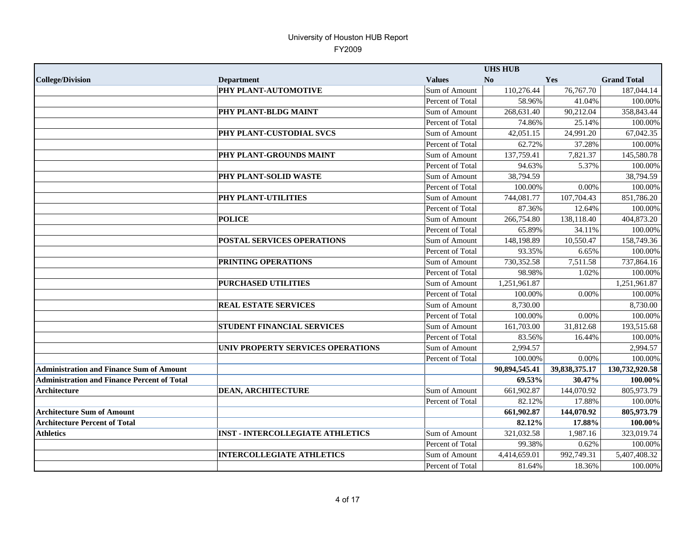|                                                    |                                         |                  | <b>UHS HUB</b> |               |                    |
|----------------------------------------------------|-----------------------------------------|------------------|----------------|---------------|--------------------|
| <b>College/Division</b>                            | <b>Department</b>                       | <b>Values</b>    | N <sub>0</sub> | Yes           | <b>Grand Total</b> |
|                                                    | PHY PLANT-AUTOMOTIVE                    | Sum of Amount    | 110,276.44     | 76,767.70     | 187,044.14         |
|                                                    |                                         | Percent of Total | 58.96%         | 41.04%        | 100.00%            |
|                                                    | PHY PLANT-BLDG MAINT                    | Sum of Amount    | 268,631.40     | 90,212.04     | 358,843.44         |
|                                                    |                                         | Percent of Total | 74.86%         | 25.14%        | 100.00%            |
|                                                    | PHY PLANT-CUSTODIAL SVCS                | Sum of Amount    | 42,051.15      | 24,991.20     | 67,042.35          |
|                                                    |                                         | Percent of Total | 62.72%         | 37.28%        | 100.00%            |
|                                                    | PHY PLANT-GROUNDS MAINT                 | Sum of Amount    | 137,759.41     | 7,821.37      | 145,580.78         |
|                                                    |                                         | Percent of Total | 94.63%         | 5.37%         | 100.00%            |
|                                                    | PHY PLANT-SOLID WASTE                   | Sum of Amount    | 38,794.59      |               | 38,794.59          |
|                                                    |                                         | Percent of Total | 100.00%        | 0.00%         | 100.00%            |
|                                                    | PHY PLANT-UTILITIES                     | Sum of Amount    | 744,081.77     | 107,704.43    | 851,786.20         |
|                                                    |                                         | Percent of Total | 87.36%         | 12.64%        | 100.00%            |
|                                                    | <b>POLICE</b>                           | Sum of Amount    | 266,754.80     | 138,118.40    | 404,873.20         |
|                                                    |                                         | Percent of Total | 65.89%         | 34.11%        | 100.00%            |
|                                                    | <b>POSTAL SERVICES OPERATIONS</b>       | Sum of Amount    | 148,198.89     | 10,550.47     | 158,749.36         |
|                                                    |                                         | Percent of Total | 93.35%         | 6.65%         | 100.00%            |
|                                                    | <b>PRINTING OPERATIONS</b>              | Sum of Amount    | 730,352.58     | 7,511.58      | 737,864.16         |
|                                                    |                                         | Percent of Total | 98.98%         | 1.02%         | 100.00%            |
|                                                    | <b>PURCHASED UTILITIES</b>              | Sum of Amount    | 1,251,961.87   |               | 1,251,961.87       |
|                                                    |                                         | Percent of Total | 100.00%        | 0.00%         | 100.00%            |
|                                                    | <b>REAL ESTATE SERVICES</b>             | Sum of Amount    | 8,730.00       |               | 8,730.00           |
|                                                    |                                         | Percent of Total | 100.00%        | 0.00%         | 100.00%            |
|                                                    | STUDENT FINANCIAL SERVICES              | Sum of Amount    | 161,703.00     | 31,812.68     | 193,515.68         |
|                                                    |                                         | Percent of Total | 83.56%         | 16.44%        | 100.00%            |
|                                                    | UNIV PROPERTY SERVICES OPERATIONS       | Sum of Amount    | 2,994.57       |               | 2,994.57           |
|                                                    |                                         | Percent of Total | 100.00%        | 0.00%         | 100.00%            |
| <b>Administration and Finance Sum of Amount</b>    |                                         |                  | 90,894,545.41  | 39,838,375.17 | 130,732,920.58     |
| <b>Administration and Finance Percent of Total</b> |                                         |                  | 69.53%         | 30.47%        | 100.00%            |
| Architecture                                       | <b>DEAN, ARCHITECTURE</b>               | Sum of Amount    | 661,902.87     | 144,070.92    | 805,973.79         |
|                                                    |                                         | Percent of Total | 82.12%         | 17.88%        | 100.00%            |
| <b>Architecture Sum of Amount</b>                  |                                         |                  | 661,902.87     | 144,070.92    | 805,973.79         |
| <b>Architecture Percent of Total</b>               |                                         |                  | 82.12%         | 17.88%        | 100.00%            |
| <b>Athletics</b>                                   | <b>INST - INTERCOLLEGIATE ATHLETICS</b> | Sum of Amount    | 321,032.58     | 1,987.16      | 323,019.74         |
|                                                    |                                         | Percent of Total | 99.38%         | 0.62%         | 100.00%            |
|                                                    | <b>INTERCOLLEGIATE ATHLETICS</b>        | Sum of Amount    | 4,414,659.01   | 992,749.31    | 5,407,408.32       |
|                                                    |                                         | Percent of Total | 81.64%         | 18.36%        | 100.00%            |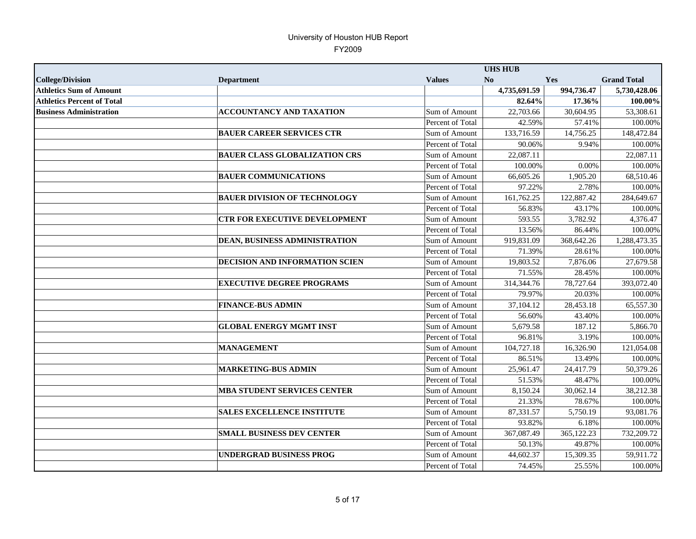|                                   |                                       |                  | <b>UHS HUB</b> |            |                    |
|-----------------------------------|---------------------------------------|------------------|----------------|------------|--------------------|
| <b>College/Division</b>           | <b>Department</b>                     | <b>Values</b>    | N <sub>0</sub> | Yes        | <b>Grand Total</b> |
| <b>Athletics Sum of Amount</b>    |                                       |                  | 4,735,691.59   | 994,736.47 | 5,730,428.06       |
| <b>Athletics Percent of Total</b> |                                       |                  | 82.64%         | 17.36%     | 100.00%            |
| <b>Business Administration</b>    | ACCOUNTANCY AND TAXATION              | Sum of Amount    | 22,703.66      | 30,604.95  | 53,308.61          |
|                                   |                                       | Percent of Total | 42.59%         | 57.41%     | 100.00%            |
|                                   | <b>BAUER CAREER SERVICES CTR</b>      | Sum of Amount    | 133,716.59     | 14,756.25  | 148,472.84         |
|                                   |                                       | Percent of Total | 90.06%         | 9.94%      | 100.00%            |
|                                   | <b>BAUER CLASS GLOBALIZATION CRS</b>  | Sum of Amount    | 22,087.11      |            | 22,087.11          |
|                                   |                                       | Percent of Total | 100.00%        | 0.00%      | 100.00%            |
|                                   | <b>BAUER COMMUNICATIONS</b>           | Sum of Amount    | 66,605.26      | 1,905.20   | 68,510.46          |
|                                   |                                       | Percent of Total | 97.22%         | 2.78%      | 100.00%            |
|                                   | <b>BAUER DIVISION OF TECHNOLOGY</b>   | Sum of Amount    | 161,762.25     | 122,887.42 | 284,649.67         |
|                                   |                                       | Percent of Total | 56.83%         | 43.17%     | 100.00%            |
|                                   | <b>CTR FOR EXECUTIVE DEVELOPMENT</b>  | Sum of Amount    | 593.55         | 3,782.92   | 4,376.47           |
|                                   |                                       | Percent of Total | 13.56%         | 86.44%     | 100.00%            |
|                                   | DEAN, BUSINESS ADMINISTRATION         | Sum of Amount    | 919,831.09     | 368,642.26 | 1,288,473.35       |
|                                   |                                       | Percent of Total | 71.39%         | 28.61%     | 100.00%            |
|                                   | <b>DECISION AND INFORMATION SCIEN</b> | Sum of Amount    | 19,803.52      | 7,876.06   | 27,679.58          |
|                                   |                                       | Percent of Total | 71.55%         | 28.45%     | 100.00%            |
|                                   | <b>EXECUTIVE DEGREE PROGRAMS</b>      | Sum of Amount    | 314, 344. 76   | 78,727.64  | 393,072.40         |
|                                   |                                       | Percent of Total | 79.97%         | 20.03%     | 100.00%            |
|                                   | <b>FINANCE-BUS ADMIN</b>              | Sum of Amount    | 37,104.12      | 28,453.18  | 65,557.30          |
|                                   |                                       | Percent of Total | 56.60%         | 43.40%     | 100.00%            |
|                                   | <b>GLOBAL ENERGY MGMT INST</b>        | Sum of Amount    | 5,679.58       | 187.12     | 5,866.70           |
|                                   |                                       | Percent of Total | 96.81%         | 3.19%      | 100.00%            |
|                                   | <b>MANAGEMENT</b>                     | Sum of Amount    | 104,727.18     | 16,326.90  | 121,054.08         |
|                                   |                                       | Percent of Total | 86.51%         | 13.49%     | 100.00%            |
|                                   | <b>MARKETING-BUS ADMIN</b>            | Sum of Amount    | 25,961.47      | 24,417.79  | 50,379.26          |
|                                   |                                       | Percent of Total | 51.53%         | 48.47%     | 100.00%            |
|                                   | <b>MBA STUDENT SERVICES CENTER</b>    | Sum of Amount    | 8,150.24       | 30,062.14  | 38,212.38          |
|                                   |                                       | Percent of Total | 21.33%         | 78.67%     | 100.00%            |
|                                   | <b>SALES EXCELLENCE INSTITUTE</b>     | Sum of Amount    | 87,331.57      | 5,750.19   | 93,081.76          |
|                                   |                                       | Percent of Total | 93.82%         | 6.18%      | 100.00%            |
|                                   | <b>SMALL BUSINESS DEV CENTER</b>      | Sum of Amount    | 367,087.49     | 365,122.23 | 732,209.72         |
|                                   |                                       | Percent of Total | 50.13%         | 49.87%     | 100.00%            |
|                                   | <b>UNDERGRAD BUSINESS PROG</b>        | Sum of Amount    | 44,602.37      | 15,309.35  | 59,911.72          |
|                                   |                                       | Percent of Total | 74.45%         | 25.55%     | 100.00%            |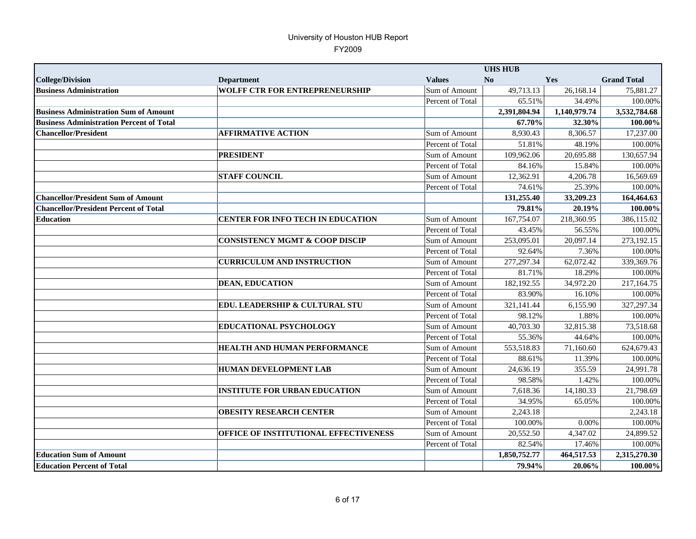|                                                 |                                           |                      | <b>UHS HUB</b> |              |                    |
|-------------------------------------------------|-------------------------------------------|----------------------|----------------|--------------|--------------------|
| <b>College/Division</b>                         | <b>Department</b>                         | <b>Values</b>        | No             | Yes          | <b>Grand Total</b> |
| <b>Business Administration</b>                  | <b>WOLFF CTR FOR ENTREPRENEURSHIP</b>     | Sum of Amount        | 49,713.13      | 26,168.14    | 75,881.27          |
|                                                 |                                           | Percent of Total     | 65.51%         | 34.49%       | 100.00%            |
| <b>Business Administration Sum of Amount</b>    |                                           |                      | 2,391,804.94   | 1,140,979.74 | 3,532,784.68       |
| <b>Business Administration Percent of Total</b> |                                           |                      | 67.70%         | 32.30%       | 100.00%            |
| <b>Chancellor/President</b>                     | <b>AFFIRMATIVE ACTION</b>                 | Sum of Amount        | 8,930.43       | 8,306.57     | 17,237.00          |
|                                                 |                                           | Percent of Total     | 51.81%         | 48.19%       | 100.00%            |
|                                                 | <b>PRESIDENT</b>                          | Sum of Amount        | 109,962.06     | 20,695.88    | 130,657.94         |
|                                                 |                                           | Percent of Total     | 84.16%         | 15.84%       | 100.00%            |
|                                                 | <b>STAFF COUNCIL</b>                      | Sum of Amount        | 12,362.91      | 4,206.78     | 16.569.69          |
|                                                 |                                           | Percent of Total     | 74.61%         | 25.39%       | 100.00%            |
| <b>Chancellor/President Sum of Amount</b>       |                                           |                      | 131,255.40     | 33,209.23    | 164,464.63         |
| <b>Chancellor/President Percent of Total</b>    |                                           |                      | 79.81%         | 20.19%       | 100.00%            |
| <b>Education</b>                                | <b>CENTER FOR INFO TECH IN EDUCATION</b>  | Sum of Amount        | 167,754.07     | 218,360.95   | 386,115.02         |
|                                                 |                                           | Percent of Total     | 43.45%         | 56.55%       | 100.00%            |
|                                                 | <b>CONSISTENCY MGMT &amp; COOP DISCIP</b> | Sum of Amount        | 253,095.01     | 20.097.14    | 273,192.15         |
|                                                 |                                           | Percent of Total     | 92.64%         | 7.36%        | 100.00%            |
|                                                 | <b>CURRICULUM AND INSTRUCTION</b>         | Sum of Amount        | 277, 297. 34   | 62,072.42    | 339,369.76         |
|                                                 |                                           | Percent of Total     | 81.71%         | 18.29%       | 100.00%            |
|                                                 | <b>DEAN, EDUCATION</b>                    | Sum of Amount        | 182,192.55     | 34,972.20    | 217,164.75         |
|                                                 |                                           | Percent of Total     | 83.90%         | 16.10%       | 100.00%            |
|                                                 | EDU. LEADERSHIP & CULTURAL STU            | <b>Sum of Amount</b> | 321,141.44     | 6,155.90     | 327, 297. 34       |
|                                                 |                                           | Percent of Total     | 98.12%         | 1.88%        | 100.00%            |
|                                                 | EDUCATIONAL PSYCHOLOGY                    | Sum of Amount        | 40,703.30      | 32,815.38    | 73,518.68          |
|                                                 |                                           | Percent of Total     | 55.36%         | 44.64%       | 100.00%            |
|                                                 | <b>HEALTH AND HUMAN PERFORMANCE</b>       | Sum of Amount        | 553,518.83     | 71,160.60    | 624,679.43         |
|                                                 |                                           | Percent of Total     | 88.61%         | 11.39%       | 100.00%            |
|                                                 | <b>HUMAN DEVELOPMENT LAB</b>              | Sum of Amount        | 24,636.19      | 355.59       | 24,991.78          |
|                                                 |                                           | Percent of Total     | 98.58%         | 1.42%        | 100.00%            |
|                                                 | <b>INSTITUTE FOR URBAN EDUCATION</b>      | Sum of Amount        | 7,618.36       | 14,180.33    | 21,798.69          |
|                                                 |                                           | Percent of Total     | 34.95%         | 65.05%       | 100.00%            |
|                                                 | <b>OBESITY RESEARCH CENTER</b>            | Sum of Amount        | 2,243.18       |              | 2,243.18           |
|                                                 |                                           | Percent of Total     | 100.00%        | 0.00%        | 100.00%            |
|                                                 | OFFICE OF INSTITUTIONAL EFFECTIVENESS     | Sum of Amount        | 20,552.50      | 4,347.02     | 24,899.52          |
|                                                 |                                           | Percent of Total     | 82.54%         | 17.46%       | 100.00%            |
| <b>Education Sum of Amount</b>                  |                                           |                      | 1,850,752.77   | 464,517.53   | 2,315,270.30       |
| <b>Education Percent of Total</b>               |                                           |                      | 79.94%         | 20.06%       | 100.00%            |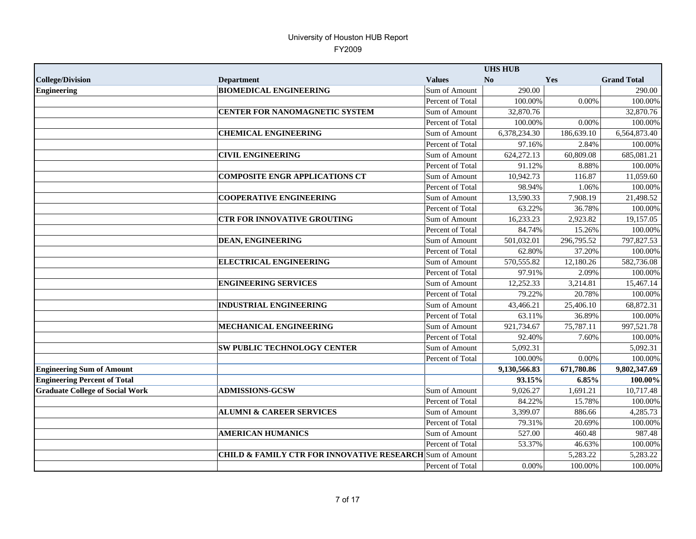|                                        |                                                                     |                  | <b>UHS HUB</b> |            |                        |
|----------------------------------------|---------------------------------------------------------------------|------------------|----------------|------------|------------------------|
| <b>College/Division</b>                | <b>Department</b>                                                   | <b>Values</b>    | No             | Yes        | <b>Grand Total</b>     |
| <b>Engineering</b>                     | <b>BIOMEDICAL ENGINEERING</b>                                       | Sum of Amount    | 290.00         |            | 290.00                 |
|                                        |                                                                     | Percent of Total | 100.00%        | 0.00%      | 100.00%                |
|                                        | CENTER FOR NANOMAGNETIC SYSTEM                                      | Sum of Amount    | 32,870.76      |            | 32,870.76              |
|                                        |                                                                     | Percent of Total | 100.00%        | 0.00%      | 100.00%                |
|                                        | <b>CHEMICAL ENGINEERING</b>                                         | Sum of Amount    | 6,378,234.30   | 186,639.10 | 6,564,873.40           |
|                                        |                                                                     | Percent of Total | 97.16%         | 2.84%      | 100.00%                |
|                                        | <b>CIVIL ENGINEERING</b>                                            | Sum of Amount    | 624,272.13     | 60,809.08  | 685,081.21             |
|                                        |                                                                     | Percent of Total | 91.12%         | 8.88%      | 100.00%                |
|                                        | <b>COMPOSITE ENGR APPLICATIONS CT</b>                               | Sum of Amount    | 10,942.73      | 116.87     | 11,059.60              |
|                                        |                                                                     | Percent of Total | 98.94%         | 1.06%      | 100.00%                |
|                                        | <b>COOPERATIVE ENGINEERING</b>                                      | Sum of Amount    | 13,590.33      | 7,908.19   | 21,498.52              |
|                                        |                                                                     | Percent of Total | 63.22%         | 36.78%     | 100.00%                |
|                                        | <b>CTR FOR INNOVATIVE GROUTING</b>                                  | Sum of Amount    | 16,233.23      | 2,923.82   | $\overline{19,}157.05$ |
|                                        |                                                                     | Percent of Total | 84.74%         | 15.26%     | 100.00%                |
|                                        | <b>DEAN, ENGINEERING</b>                                            | Sum of Amount    | 501,032.01     | 296,795.52 | 797,827.53             |
|                                        |                                                                     | Percent of Total | 62.80%         | 37.20%     | 100.00%                |
|                                        | <b>ELECTRICAL ENGINEERING</b>                                       | Sum of Amount    | 570,555.82     | 12,180.26  | 582,736.08             |
|                                        |                                                                     | Percent of Total | 97.91%         | 2.09%      | 100.00%                |
|                                        | <b>ENGINEERING SERVICES</b>                                         | Sum of Amount    | 12,252.33      | 3,214.81   | 15,467.14              |
|                                        |                                                                     | Percent of Total | 79.22%         | 20.78%     | 100.00%                |
|                                        | <b>INDUSTRIAL ENGINEERING</b>                                       | Sum of Amount    | 43,466.21      | 25,406.10  | 68,872.31              |
|                                        |                                                                     | Percent of Total | 63.11%         | 36.89%     | 100.00%                |
|                                        | MECHANICAL ENGINEERING                                              | Sum of Amount    | 921,734.67     | 75,787.11  | 997,521.78             |
|                                        |                                                                     | Percent of Total | 92.40%         | 7.60%      | 100.00%                |
|                                        | <b>SW PUBLIC TECHNOLOGY CENTER</b>                                  | Sum of Amount    | 5,092.31       |            | 5,092.31               |
|                                        |                                                                     | Percent of Total | 100.00%        | 0.00%      | 100.00%                |
| <b>Engineering Sum of Amount</b>       |                                                                     |                  | 9,130,566.83   | 671,780.86 | 9,802,347.69           |
| <b>Engineering Percent of Total</b>    |                                                                     |                  | 93.15%         | 6.85%      | 100.00%                |
| <b>Graduate College of Social Work</b> | <b>ADMISSIONS-GCSW</b>                                              | Sum of Amount    | 9,026.27       | 1,691.21   | 10,717.48              |
|                                        |                                                                     | Percent of Total | 84.22%         | 15.78%     | 100.00%                |
|                                        | <b>ALUMNI &amp; CAREER SERVICES</b>                                 | Sum of Amount    | 3,399.07       | 886.66     | 4,285.73               |
|                                        |                                                                     | Percent of Total | 79.31%         | 20.69%     | 100.00%                |
|                                        | <b>AMERICAN HUMANICS</b>                                            | Sum of Amount    | 527.00         | 460.48     | 987.48                 |
|                                        |                                                                     | Percent of Total | 53.37%         | 46.63%     | 100.00%                |
|                                        | <b>CHILD &amp; FAMILY CTR FOR INNOVATIVE RESEARCH</b> Sum of Amount |                  |                | 5,283.22   | 5,283.22               |
|                                        |                                                                     | Percent of Total | $0.00\%$       | 100.00%    | 100.00%                |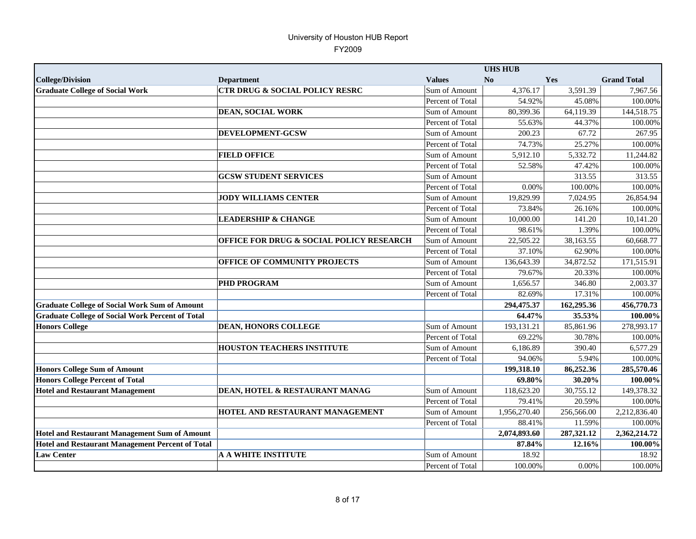|                                                         |                                                     |                  | <b>UHS HUB</b>          |            |                         |
|---------------------------------------------------------|-----------------------------------------------------|------------------|-------------------------|------------|-------------------------|
| <b>College/Division</b>                                 | <b>Department</b>                                   | <b>Values</b>    | No                      | Yes        | <b>Grand Total</b>      |
| <b>Graduate College of Social Work</b>                  | <b>CTR DRUG &amp; SOCIAL POLICY RESRC</b>           | Sum of Amount    | 4,376.17                | 3,591.39   | 7,967.56                |
|                                                         |                                                     | Percent of Total | 54.92%                  | 45.08%     | 100.00%                 |
|                                                         | DEAN, SOCIAL WORK                                   | Sum of Amount    | 80,399.36               | 64,119.39  | 144,518.75              |
|                                                         |                                                     | Percent of Total | 55.63%                  | 44.37%     | 100.00%                 |
|                                                         | DEVELOPMENT-GCSW                                    | Sum of Amount    | 200.23                  | 67.72      | 267.95                  |
|                                                         |                                                     | Percent of Total | 74.73%                  | 25.27%     | 100.00%                 |
|                                                         | <b>FIELD OFFICE</b>                                 | Sum of Amount    | 5,912.10                | 5,332.72   | 11,244.82               |
|                                                         |                                                     | Percent of Total | 52.58%                  | 47.42%     | 100.00%                 |
|                                                         | <b>GCSW STUDENT SERVICES</b>                        | Sum of Amount    |                         | 313.55     | 313.55                  |
|                                                         |                                                     | Percent of Total | 0.00%                   | 100.00%    | 100.00%                 |
|                                                         | <b>JODY WILLIAMS CENTER</b>                         | Sum of Amount    | 19,829.99               | 7,024.95   | 26,854.94               |
|                                                         |                                                     | Percent of Total | 73.84%                  | 26.16%     | 100.00%                 |
|                                                         | <b>LEADERSHIP &amp; CHANGE</b>                      | Sum of Amount    | 10,000.00               | 141.20     | $\overline{10}, 141.20$ |
|                                                         |                                                     | Percent of Total | 98.61%                  | 1.39%      | 100.00%                 |
|                                                         | <b>OFFICE FOR DRUG &amp; SOCIAL POLICY RESEARCH</b> | Sum of Amount    | 22,505.22               | 38,163.55  | 60,668.77               |
|                                                         |                                                     | Percent of Total | 37.10%                  | 62.90%     | 100.00%                 |
|                                                         | OFFICE OF COMMUNITY PROJECTS                        | Sum of Amount    | 136,643.39              | 34,872.52  | 171,515.91              |
|                                                         |                                                     | Percent of Total | 79.67%                  | 20.33%     | 100.00%                 |
|                                                         | <b>PHD PROGRAM</b>                                  | Sum of Amount    | 1,656.57                | 346.80     | 2,003.37                |
|                                                         |                                                     | Percent of Total | 82.69%                  | 17.31%     | 100.00%                 |
| <b>Graduate College of Social Work Sum of Amount</b>    |                                                     |                  | 294,475.37              | 162,295.36 | 456,770.73              |
| <b>Graduate College of Social Work Percent of Total</b> |                                                     |                  | 64.47%                  | 35.53%     | 100.00%                 |
| <b>Honors College</b>                                   | <b>DEAN, HONORS COLLEGE</b>                         | Sum of Amount    | 193,131.21              | 85,861.96  | 278,993.17              |
|                                                         |                                                     | Percent of Total | 69.22%                  | 30.78%     | 100.00%                 |
|                                                         | <b>HOUSTON TEACHERS INSTITUTE</b>                   | Sum of Amount    | 6,186.89                | 390.40     | 6,577.29                |
|                                                         |                                                     | Percent of Total | 94.06%                  | 5.94%      | 100.00%                 |
| <b>Honors College Sum of Amount</b>                     |                                                     |                  | $199,318.\overline{10}$ | 86,252.36  | 285,570.46              |
| <b>Honors College Percent of Total</b>                  |                                                     |                  | 69.80%                  | 30.20%     | 100.00%                 |
| <b>Hotel and Restaurant Management</b>                  | DEAN, HOTEL & RESTAURANT MANAG                      | Sum of Amount    | 118,623.20              | 30,755.12  | 149,378.32              |
|                                                         |                                                     | Percent of Total | 79.41%                  | 20.59%     | 100.00%                 |
|                                                         | <b>HOTEL AND RESTAURANT MANAGEMENT</b>              | Sum of Amount    | 1,956,270.40            | 256,566.00 | 2,212,836.40            |
|                                                         |                                                     | Percent of Total | 88.41%                  | 11.59%     | 100.00%                 |
| <b>Hotel and Restaurant Management Sum of Amount</b>    |                                                     |                  | 2,074,893.60            | 287,321.12 | 2,362,214.72            |
| <b>Hotel and Restaurant Management Percent of Total</b> |                                                     |                  | 87.84%                  | 12.16%     | $100.00\%$              |
| <b>Law Center</b>                                       | <b>A A WHITE INSTITUTE</b>                          | Sum of Amount    | 18.92                   |            | 18.92                   |
|                                                         |                                                     | Percent of Total | 100.00%                 | 0.00%      | 100.00%                 |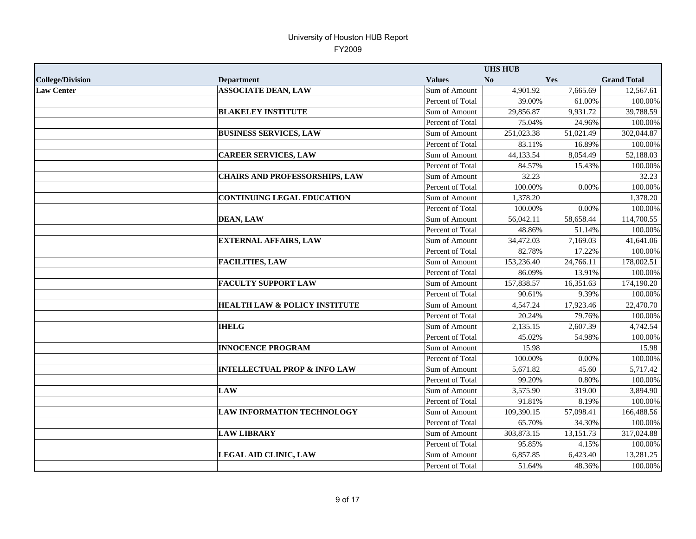|                         |                                          |                  | <b>UHS HUB</b> |           |                    |
|-------------------------|------------------------------------------|------------------|----------------|-----------|--------------------|
| <b>College/Division</b> | <b>Department</b>                        | <b>Values</b>    | No             | Yes       | <b>Grand Total</b> |
| <b>Law Center</b>       | <b>ASSOCIATE DEAN, LAW</b>               | Sum of Amount    | 4,901.92       | 7,665.69  | 12,567.61          |
|                         |                                          | Percent of Total | 39.00%         | 61.00%    | 100.00%            |
|                         | <b>BLAKELEY INSTITUTE</b>                | Sum of Amount    | 29,856.87      | 9,931.72  | 39,788.59          |
|                         |                                          | Percent of Total | 75.04%         | 24.96%    | 100.00%            |
|                         | <b>BUSINESS SERVICES, LAW</b>            | Sum of Amount    | 251,023.38     | 51,021.49 | 302,044.87         |
|                         |                                          | Percent of Total | 83.11%         | 16.89%    | 100.00%            |
|                         | <b>CAREER SERVICES, LAW</b>              | Sum of Amount    | 44,133.54      | 8,054.49  | 52,188.03          |
|                         |                                          | Percent of Total | 84.57%         | 15.43%    | 100.00%            |
|                         | <b>CHAIRS AND PROFESSORSHIPS, LAW</b>    | Sum of Amount    | 32.23          |           | 32.23              |
|                         |                                          | Percent of Total | 100.00%        | 0.00%     | 100.00%            |
|                         | <b>CONTINUING LEGAL EDUCATION</b>        | Sum of Amount    | 1,378.20       |           | 1,378.20           |
|                         |                                          | Percent of Total | 100.00%        | 0.00%     | 100.00%            |
|                         | <b>DEAN, LAW</b>                         | Sum of Amount    | 56,042.11      | 58,658.44 | 114,700.55         |
|                         |                                          | Percent of Total | 48.86%         | 51.14%    | 100.00%            |
|                         | <b>EXTERNAL AFFAIRS, LAW</b>             | Sum of Amount    | 34,472.03      | 7,169.03  | 41,641.06          |
|                         |                                          | Percent of Total | 82.78%         | 17.22%    | 100.00%            |
|                         | <b>FACILITIES, LAW</b>                   | Sum of Amount    | 153,236.40     | 24,766.11 | 178,002.51         |
|                         |                                          | Percent of Total | 86.09%         | 13.91%    | 100.00%            |
|                         | <b>FACULTY SUPPORT LAW</b>               | Sum of Amount    | 157,838.57     | 16,351.63 | 174,190.20         |
|                         |                                          | Percent of Total | 90.61%         | 9.39%     | 100.00%            |
|                         | <b>HEALTH LAW &amp; POLICY INSTITUTE</b> | Sum of Amount    | 4,547.24       | 17,923.46 | 22,470.70          |
|                         |                                          | Percent of Total | 20.24%         | 79.76%    | 100.00%            |
|                         | <b>IHELG</b>                             | Sum of Amount    | 2,135.15       | 2,607.39  | 4,742.54           |
|                         |                                          | Percent of Total | 45.02%         | 54.98%    | 100.00%            |
|                         | <b>INNOCENCE PROGRAM</b>                 | Sum of Amount    | 15.98          |           | 15.98              |
|                         |                                          | Percent of Total | 100.00%        | 0.00%     | 100.00%            |
|                         | <b>INTELLECTUAL PROP &amp; INFO LAW</b>  | Sum of Amount    | 5,671.82       | 45.60     | 5,717.42           |
|                         |                                          | Percent of Total | 99.20%         | 0.80%     | 100.00%            |
|                         | <b>LAW</b>                               | Sum of Amount    | 3,575.90       | 319.00    | 3,894.90           |
|                         |                                          | Percent of Total | 91.81%         | 8.19%     | 100.00%            |
|                         | <b>LAW INFORMATION TECHNOLOGY</b>        | Sum of Amount    | 109,390.15     | 57,098.41 | 166,488.56         |
|                         |                                          | Percent of Total | 65.70%         | 34.30%    | 100.00%            |
|                         | <b>LAW LIBRARY</b>                       | Sum of Amount    | 303,873.15     | 13,151.73 | 317,024.88         |
|                         |                                          | Percent of Total | 95.85%         | 4.15%     | 100.00%            |
|                         | <b>LEGAL AID CLINIC, LAW</b>             | Sum of Amount    | 6,857.85       | 6,423.40  | 13,281.25          |
|                         |                                          | Percent of Total | 51.64%         | 48.36%    | 100.00%            |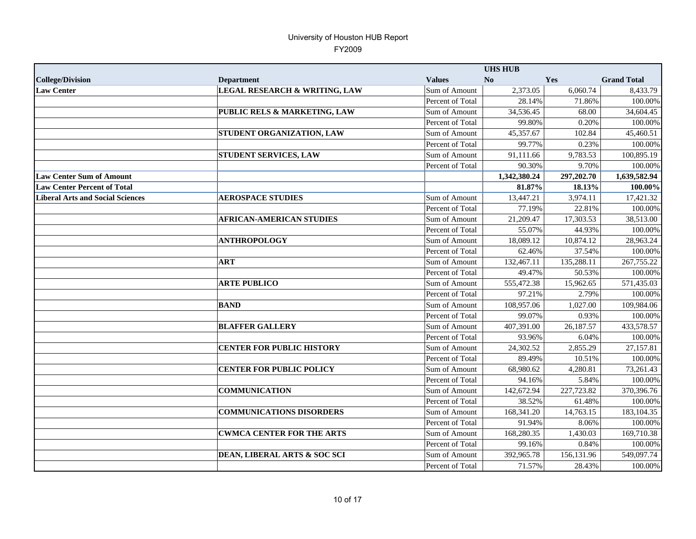|                                         |                                          |                  | <b>UHS HUB</b> |            |                    |
|-----------------------------------------|------------------------------------------|------------------|----------------|------------|--------------------|
| <b>College/Division</b>                 | <b>Department</b>                        | <b>Values</b>    | No             | <b>Yes</b> | <b>Grand Total</b> |
| <b>Law Center</b>                       | <b>LEGAL RESEARCH &amp; WRITING, LAW</b> | Sum of Amount    | 2,373.05       | 6,060.74   | 8,433.79           |
|                                         |                                          | Percent of Total | 28.14%         | 71.86%     | 100.00%            |
|                                         | PUBLIC RELS & MARKETING, LAW             | Sum of Amount    | 34,536.45      | 68.00      | 34,604.45          |
|                                         |                                          | Percent of Total | 99.80%         | 0.20%      | 100.00%            |
|                                         | STUDENT ORGANIZATION, LAW                | Sum of Amount    | 45,357.67      | 102.84     | 45,460.51          |
|                                         |                                          | Percent of Total | 99.77%         | 0.23%      | 100.00%            |
|                                         | <b>STUDENT SERVICES, LAW</b>             | Sum of Amount    | 91,111.66      | 9,783.53   | 100,895.19         |
|                                         |                                          | Percent of Total | 90.30%         | 9.70%      | 100.00%            |
| <b>Law Center Sum of Amount</b>         |                                          |                  | 1,342,380.24   | 297,202.70 | 1,639,582.94       |
| <b>Law Center Percent of Total</b>      |                                          |                  | 81.87%         | 18.13%     | 100.00%            |
| <b>Liberal Arts and Social Sciences</b> | <b>AEROSPACE STUDIES</b>                 | Sum of Amount    | 13,447.21      | 3,974.11   | 17,421.32          |
|                                         |                                          | Percent of Total | 77.19%         | 22.81%     | 100.00%            |
|                                         | <b>AFRICAN-AMERICAN STUDIES</b>          | Sum of Amount    | 21,209.47      | 17,303.53  | 38,513.00          |
|                                         |                                          | Percent of Total | 55.07%         | 44.93%     | 100.00%            |
|                                         | <b>ANTHROPOLOGY</b>                      | Sum of Amount    | 18,089.12      | 10,874.12  | 28.963.24          |
|                                         |                                          | Percent of Total | 62.46%         | 37.54%     | 100.00%            |
|                                         | <b>ART</b>                               | Sum of Amount    | 132,467.11     | 135,288.11 | 267,755.22         |
|                                         |                                          | Percent of Total | 49.47%         | 50.53%     | 100.00%            |
|                                         | <b>ARTE PUBLICO</b>                      | Sum of Amount    | 555,472.38     | 15,962.65  | 571,435.03         |
|                                         |                                          | Percent of Total | 97.21%         | 2.79%      | 100.00%            |
|                                         | <b>BAND</b>                              | Sum of Amount    | 108,957.06     | 1,027.00   | 109,984.06         |
|                                         |                                          | Percent of Total | 99.07%         | 0.93%      | 100.00%            |
|                                         | <b>BLAFFER GALLERY</b>                   | Sum of Amount    | 407,391.00     | 26,187.57  | 433,578.57         |
|                                         |                                          | Percent of Total | 93.96%         | 6.04%      | 100.00%            |
|                                         | <b>CENTER FOR PUBLIC HISTORY</b>         | Sum of Amount    | 24,302.52      | 2,855.29   | 27,157.81          |
|                                         |                                          | Percent of Total | 89.49%         | 10.51%     | 100.00%            |
|                                         | <b>CENTER FOR PUBLIC POLICY</b>          | Sum of Amount    | 68,980.62      | 4,280.81   | 73,261.43          |
|                                         |                                          | Percent of Total | 94.16%         | 5.84%      | 100.00%            |
|                                         | <b>COMMUNICATION</b>                     | Sum of Amount    | 142,672.94     | 227,723.82 | 370,396.76         |
|                                         |                                          | Percent of Total | 38.52%         | 61.48%     | 100.00%            |
|                                         | <b>COMMUNICATIONS DISORDERS</b>          | Sum of Amount    | 168,341.20     | 14,763.15  | 183, 104. 35       |
|                                         |                                          | Percent of Total | 91.94%         | 8.06%      | 100.00%            |
|                                         | <b>CWMCA CENTER FOR THE ARTS</b>         | Sum of Amount    | 168,280.35     | 1,430.03   | 169,710.38         |
|                                         |                                          | Percent of Total | 99.16%         | 0.84%      | 100.00%            |
|                                         | DEAN, LIBERAL ARTS & SOC SCI             | Sum of Amount    | 392,965.78     | 156,131.96 | 549,097.74         |
|                                         |                                          | Percent of Total | 71.57%         | 28.43%     | 100.00%            |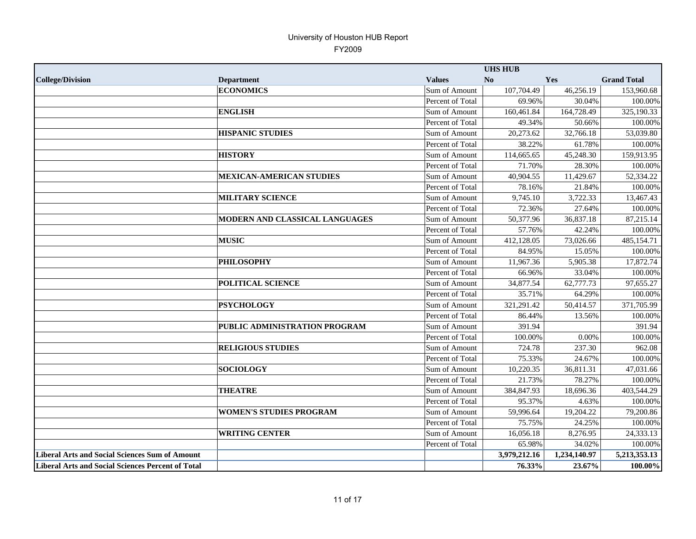|                                                          |                                 |                      | <b>UHS HUB</b> |              |                    |
|----------------------------------------------------------|---------------------------------|----------------------|----------------|--------------|--------------------|
| <b>College/Division</b>                                  | <b>Department</b>               | <b>Values</b>        | No             | Yes          | <b>Grand Total</b> |
|                                                          | <b>ECONOMICS</b>                | Sum of Amount        | 107,704.49     | 46,256.19    | 153,960.68         |
|                                                          |                                 | Percent of Total     | 69.96%         | 30.04%       | 100.00%            |
|                                                          | <b>ENGLISH</b>                  | <b>Sum of Amount</b> | 160,461.84     | 164,728.49   | 325,190.33         |
|                                                          |                                 | Percent of Total     | 49.34%         | 50.66%       | 100.00%            |
|                                                          | <b>HISPANIC STUDIES</b>         | Sum of Amount        | 20,273.62      | 32,766.18    | 53,039.80          |
|                                                          |                                 | Percent of Total     | 38.22%         | 61.78%       | 100.00%            |
|                                                          | <b>HISTORY</b>                  | Sum of Amount        | 114,665.65     | 45,248.30    | 159,913.95         |
|                                                          |                                 | Percent of Total     | 71.70%         | 28.30%       | 100.00%            |
|                                                          | <b>MEXICAN-AMERICAN STUDIES</b> | Sum of Amount        | 40,904.55      | 11,429.67    | 52,334.22          |
|                                                          |                                 | Percent of Total     | 78.16%         | 21.84%       | 100.00%            |
|                                                          | <b>MILITARY SCIENCE</b>         | Sum of Amount        | 9,745.10       | 3,722.33     | 13,467.43          |
|                                                          |                                 | Percent of Total     | 72.36%         | 27.64%       | 100.00%            |
|                                                          | MODERN AND CLASSICAL LANGUAGES  | Sum of Amount        | 50,377.96      | 36,837.18    | 87,215.14          |
|                                                          |                                 | Percent of Total     | 57.76%         | 42.24%       | 100.00%            |
|                                                          | <b>MUSIC</b>                    | Sum of Amount        | 412,128.05     | 73,026.66    | 485,154.71         |
|                                                          |                                 | Percent of Total     | 84.95%         | 15.05%       | 100.00%            |
|                                                          | <b>PHILOSOPHY</b>               | Sum of Amount        | 11,967.36      | 5,905.38     | 17,872.74          |
|                                                          |                                 | Percent of Total     | 66.96%         | 33.04%       | 100.00%            |
|                                                          | <b>POLITICAL SCIENCE</b>        | Sum of Amount        | 34,877.54      | 62,777.73    | 97,655.27          |
|                                                          |                                 | Percent of Total     | 35.71%         | 64.29%       | 100.00%            |
|                                                          | <b>PSYCHOLOGY</b>               | Sum of Amount        | 321,291.42     | 50,414.57    | 371,705.99         |
|                                                          |                                 | Percent of Total     | 86.44%         | 13.56%       | 100.00%            |
|                                                          | PUBLIC ADMINISTRATION PROGRAM   | Sum of Amount        | 391.94         |              | 391.94             |
|                                                          |                                 | Percent of Total     | 100.00%        | 0.00%        | 100.00%            |
|                                                          | <b>RELIGIOUS STUDIES</b>        | Sum of Amount        | 724.78         | 237.30       | 962.08             |
|                                                          |                                 | Percent of Total     | 75.33%         | 24.67%       | 100.00%            |
|                                                          | <b>SOCIOLOGY</b>                | Sum of Amount        | 10,220.35      | 36,811.31    | 47,031.66          |
|                                                          |                                 | Percent of Total     | 21.73%         | 78.27%       | 100.00%            |
|                                                          | <b>THEATRE</b>                  | Sum of Amount        | 384,847.93     | 18,696.36    | 403,544.29         |
|                                                          |                                 | Percent of Total     | 95.37%         | 4.63%        | 100.00%            |
|                                                          | <b>WOMEN'S STUDIES PROGRAM</b>  | Sum of Amount        | 59,996.64      | 19,204.22    | 79,200.86          |
|                                                          |                                 | Percent of Total     | 75.75%         | 24.25%       | 100.00%            |
|                                                          | <b>WRITING CENTER</b>           | Sum of Amount        | 16,056.18      | 8,276.95     | 24,333.13          |
|                                                          |                                 | Percent of Total     | 65.98%         | 34.02%       | 100.00%            |
| <b>Liberal Arts and Social Sciences Sum of Amount</b>    |                                 |                      | 3,979,212.16   | 1,234,140.97 | 5,213,353.13       |
| <b>Liberal Arts and Social Sciences Percent of Total</b> |                                 |                      | 76.33%         | 23.67%       | 100.00%            |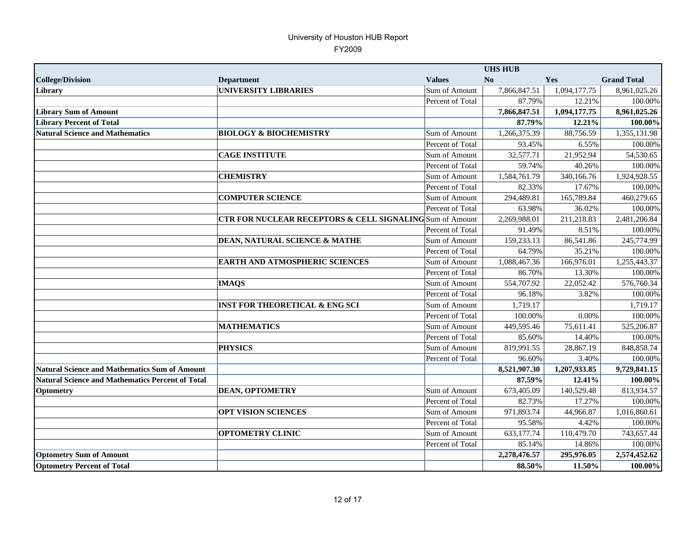|                                                         |                                                          |                  | <b>UHS HUB</b> |              |                    |
|---------------------------------------------------------|----------------------------------------------------------|------------------|----------------|--------------|--------------------|
| <b>College/Division</b>                                 | <b>Department</b>                                        | <b>Values</b>    | N <sub>0</sub> | <b>Yes</b>   | <b>Grand Total</b> |
| Library                                                 | <b>UNIVERSITY LIBRARIES</b>                              | Sum of Amount    | 7,866,847.51   | 1,094,177.75 | 8,961,025.26       |
|                                                         |                                                          | Percent of Total | 87.79%         | 12.21%       | 100.00%            |
| <b>Library Sum of Amount</b>                            |                                                          |                  | 7,866,847.51   | 1,094,177.75 | 8,961,025.26       |
| <b>Library Percent of Total</b>                         |                                                          |                  | 87.79%         | 12.21%       | 100.00%            |
| <b>Natural Science and Mathematics</b>                  | <b>BIOLOGY &amp; BIOCHEMISTRY</b>                        | Sum of Amount    | 1,266,375.39   | 88,756.59    | 1,355,131.98       |
|                                                         |                                                          | Percent of Total | 93.45%         | 6.55%        | 100.00%            |
|                                                         | <b>CAGE INSTITUTE</b>                                    | Sum of Amount    | 32,577.71      | 21,952.94    | 54,530.65          |
|                                                         |                                                          | Percent of Total | 59.74%         | 40.26%       | 100.00%            |
|                                                         | <b>CHEMISTRY</b>                                         | Sum of Amount    | 1,584,761.79   | 340,166.76   | 1,924,928.55       |
|                                                         |                                                          | Percent of Total | 82.33%         | 17.67%       | 100.00%            |
|                                                         | <b>COMPUTER SCIENCE</b>                                  | Sum of Amount    | 294,489.81     | 165,789.84   | 460,279.65         |
|                                                         |                                                          | Percent of Total | 63.98%         | 36.02%       | 100.00%            |
|                                                         | CTR FOR NUCLEAR RECEPTORS & CELL SIGNALING Sum of Amount |                  | 2,269,988.01   | 211,218.83   | 2,481,206.84       |
|                                                         |                                                          | Percent of Total | 91.49%         | 8.51%        | 100.00%            |
|                                                         | <b>DEAN, NATURAL SCIENCE &amp; MATHE</b>                 | Sum of Amount    | 159,233.13     | 86,541.86    | 245,774.99         |
|                                                         |                                                          | Percent of Total | 64.79%         | 35.21%       | 100.00%            |
|                                                         | <b>EARTH AND ATMOSPHERIC SCIENCES</b>                    | Sum of Amount    | 1,088,467.36   | 166,976.01   | 1,255,443.37       |
|                                                         |                                                          | Percent of Total | 86.70%         | 13.30%       | 100.00%            |
|                                                         | <b>IMAQS</b>                                             | Sum of Amount    | 554,707.92     | 22,052.42    | 576,760.34         |
|                                                         |                                                          | Percent of Total | 96.18%         | 3.82%        | 100.00%            |
|                                                         | <b>INST FOR THEORETICAL &amp; ENG SCI</b>                | Sum of Amount    | 1,719.17       |              | 1,719.17           |
|                                                         |                                                          | Percent of Total | 100.00%        | 0.00%        | 100.00%            |
|                                                         | <b>MATHEMATICS</b>                                       | Sum of Amount    | 449,595.46     | 75,611.41    | 525,206.87         |
|                                                         |                                                          | Percent of Total | 85.60%         | 14.40%       | 100.00%            |
|                                                         | <b>PHYSICS</b>                                           | Sum of Amount    | 819,991.55     | 28,867.19    | 848,858.74         |
|                                                         |                                                          | Percent of Total | 96.60%         | 3.40%        | 100.00%            |
| <b>Natural Science and Mathematics Sum of Amount</b>    |                                                          |                  | 8,521,907.30   | 1,207,933.85 | 9,729,841.15       |
| <b>Natural Science and Mathematics Percent of Total</b> |                                                          |                  | 87.59%         | 12.41%       | 100.00%            |
| Optometry                                               | <b>DEAN, OPTOMETRY</b>                                   | Sum of Amount    | 673,405.09     | 140,529.48   | 813,934.57         |
|                                                         |                                                          | Percent of Total | 82.73%         | 17.27%       | 100.00%            |
|                                                         | <b>OPT VISION SCIENCES</b>                               | Sum of Amount    | 971,893.74     | 44,966.87    | 1,016,860.61       |
|                                                         |                                                          | Percent of Total | 95.58%         | 4.42%        | 100.00%            |
|                                                         | <b>OPTOMETRY CLINIC</b>                                  | Sum of Amount    | 633,177.74     | 110,479.70   | 743,657.44         |
|                                                         |                                                          | Percent of Total | 85.14%         | 14.86%       | 100.00%            |
| <b>Optometry Sum of Amount</b>                          |                                                          |                  | 2,278,476.57   | 295,976.05   | 2,574,452.62       |
| <b>Optometry Percent of Total</b>                       |                                                          |                  | 88.50%         | 11.50%       | 100.00%            |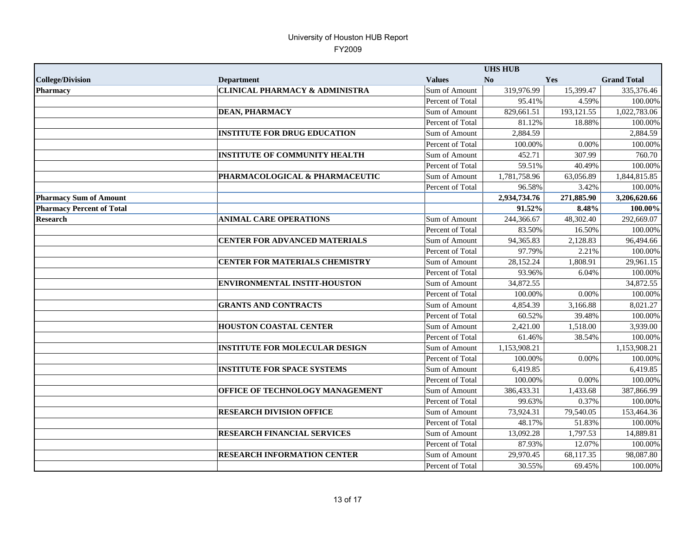|                                  |                                           |                  | <b>UHS HUB</b> |            |                    |
|----------------------------------|-------------------------------------------|------------------|----------------|------------|--------------------|
| <b>College/Division</b>          | <b>Department</b>                         | <b>Values</b>    | No             | Yes        | <b>Grand Total</b> |
| <b>Pharmacy</b>                  | <b>CLINICAL PHARMACY &amp; ADMINISTRA</b> | Sum of Amount    | 319,976.99     | 15,399.47  | 335,376.46         |
|                                  |                                           | Percent of Total | 95.41%         | 4.59%      | 100.00%            |
|                                  | <b>DEAN, PHARMACY</b>                     | Sum of Amount    | 829,661.51     | 193,121.55 | 1,022,783.06       |
|                                  |                                           | Percent of Total | 81.12%         | 18.88%     | 100.00%            |
|                                  | <b>INSTITUTE FOR DRUG EDUCATION</b>       | Sum of Amount    | 2,884.59       |            | 2,884.59           |
|                                  |                                           | Percent of Total | 100.00%        | 0.00%      | 100.00%            |
|                                  | <b>INSTITUTE OF COMMUNITY HEALTH</b>      | Sum of Amount    | 452.71         | 307.99     | 760.70             |
|                                  |                                           | Percent of Total | 59.51%         | 40.49%     | 100.00%            |
|                                  | PHARMACOLOGICAL & PHARMACEUTIC            | Sum of Amount    | 1,781,758.96   | 63,056.89  | 1,844,815.85       |
|                                  |                                           | Percent of Total | 96.58%         | 3.42%      | 100.00%            |
| <b>Pharmacy Sum of Amount</b>    |                                           |                  | 2,934,734.76   | 271,885.90 | 3,206,620.66       |
| <b>Pharmacy Percent of Total</b> |                                           |                  | 91.52%         | 8.48%      | 100.00%            |
| <b>Research</b>                  | <b>ANIMAL CARE OPERATIONS</b>             | Sum of Amount    | 244,366.67     | 48,302.40  | 292,669.07         |
|                                  |                                           | Percent of Total | 83.50%         | 16.50%     | 100.00%            |
|                                  | <b>CENTER FOR ADVANCED MATERIALS</b>      | Sum of Amount    | 94,365.83      | 2,128.83   | 96,494.66          |
|                                  |                                           | Percent of Total | 97.79%         | 2.21%      | 100.00%            |
|                                  | <b>CENTER FOR MATERIALS CHEMISTRY</b>     | Sum of Amount    | 28,152.24      | 1,808.91   | 29,961.15          |
|                                  |                                           | Percent of Total | 93.96%         | 6.04%      | 100.00%            |
|                                  | <b>ENVIRONMENTAL INSTIT-HOUSTON</b>       | Sum of Amount    | 34,872.55      |            | 34,872.55          |
|                                  |                                           | Percent of Total | 100.00%        | 0.00%      | 100.00%            |
|                                  | <b>GRANTS AND CONTRACTS</b>               | Sum of Amount    | 4,854.39       | 3,166.88   | 8,021.27           |
|                                  |                                           | Percent of Total | 60.52%         | 39.48%     | 100.00%            |
|                                  | <b>HOUSTON COASTAL CENTER</b>             | Sum of Amount    | 2,421.00       | 1,518.00   | 3,939.00           |
|                                  |                                           | Percent of Total | 61.46%         | 38.54%     | 100.00%            |
|                                  | <b>INSTITUTE FOR MOLECULAR DESIGN</b>     | Sum of Amount    | 1,153,908.21   |            | 1,153,908.21       |
|                                  |                                           | Percent of Total | 100.00%        | $0.00\%$   | 100.00%            |
|                                  | <b>INSTITUTE FOR SPACE SYSTEMS</b>        | Sum of Amount    | 6,419.85       |            | 6,419.85           |
|                                  |                                           | Percent of Total | 100.00%        | 0.00%      | 100.00%            |
|                                  | OFFICE OF TECHNOLOGY MANAGEMENT           | Sum of Amount    | 386,433.31     | 1,433.68   | 387,866.99         |
|                                  |                                           | Percent of Total | 99.63%         | 0.37%      | 100.00%            |
|                                  | <b>RESEARCH DIVISION OFFICE</b>           | Sum of Amount    | 73,924.31      | 79,540.05  | 153,464.36         |
|                                  |                                           | Percent of Total | 48.17%         | 51.83%     | 100.00%            |
|                                  | RESEARCH FINANCIAL SERVICES               | Sum of Amount    | 13,092.28      | 1,797.53   | 14,889.81          |
|                                  |                                           | Percent of Total | 87.93%         | 12.07%     | 100.00%            |
|                                  | <b>RESEARCH INFORMATION CENTER</b>        | Sum of Amount    | 29,970.45      | 68,117.35  | 98,087.80          |
|                                  |                                           | Percent of Total | 30.55%         | 69.45%     | 100.00%            |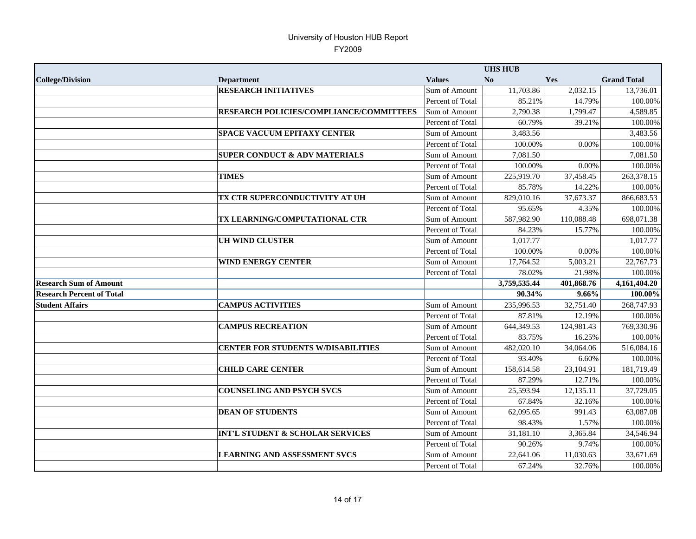|                                  |                                             | <b>UHS HUB</b>   |              |            |                    |
|----------------------------------|---------------------------------------------|------------------|--------------|------------|--------------------|
| <b>College/Division</b>          | <b>Department</b>                           | <b>Values</b>    | No           | <b>Yes</b> | <b>Grand Total</b> |
|                                  | <b>RESEARCH INITIATIVES</b>                 | Sum of Amount    | 11,703.86    | 2,032.15   | 13,736.01          |
|                                  |                                             | Percent of Total | 85.21%       | 14.79%     | 100.00%            |
|                                  | RESEARCH POLICIES/COMPLIANCE/COMMITTEES     | Sum of Amount    | 2,790.38     | 1,799.47   | 4,589.85           |
|                                  |                                             | Percent of Total | 60.79%       | 39.21%     | 100.00%            |
|                                  | <b>SPACE VACUUM EPITAXY CENTER</b>          | Sum of Amount    | 3,483.56     |            | 3,483.56           |
|                                  |                                             | Percent of Total | 100.00%      | 0.00%      | 100.00%            |
|                                  | <b>SUPER CONDUCT &amp; ADV MATERIALS</b>    | Sum of Amount    | 7,081.50     |            | 7,081.50           |
|                                  |                                             | Percent of Total | 100.00%      | 0.00%      | 100.00%            |
|                                  | <b>TIMES</b>                                | Sum of Amount    | 225,919.70   | 37,458.45  | 263,378.15         |
|                                  |                                             | Percent of Total | 85.78%       | 14.22%     | 100.00%            |
|                                  | TX CTR SUPERCONDUCTIVITY AT UH              | Sum of Amount    | 829,010.16   | 37,673.37  | 866,683.53         |
|                                  |                                             | Percent of Total | 95.65%       | 4.35%      | 100.00%            |
|                                  | TX LEARNING/COMPUTATIONAL CTR               | Sum of Amount    | 587,982.90   | 110,088.48 | 698,071.38         |
|                                  |                                             | Percent of Total | 84.23%       | 15.77%     | 100.00%            |
|                                  | <b>UH WIND CLUSTER</b>                      | Sum of Amount    | 1.017.77     |            | 1,017.77           |
|                                  |                                             | Percent of Total | 100.00%      | 0.00%      | 100.00%            |
|                                  | <b>WIND ENERGY CENTER</b>                   | Sum of Amount    | 17,764.52    | 5,003.21   | 22,767.73          |
|                                  |                                             | Percent of Total | 78.02%       | 21.98%     | 100.00%            |
| <b>Research Sum of Amount</b>    |                                             |                  | 3,759,535.44 | 401,868.76 | 4,161,404.20       |
| <b>Research Percent of Total</b> |                                             |                  | 90.34%       | 9.66%      | 100.00%            |
| <b>Student Affairs</b>           | <b>CAMPUS ACTIVITIES</b>                    | Sum of Amount    | 235,996.53   | 32,751.40  | 268,747.93         |
|                                  |                                             | Percent of Total | 87.81%       | 12.19%     | 100.00%            |
|                                  | <b>CAMPUS RECREATION</b>                    | Sum of Amount    | 644,349.53   | 124,981.43 | 769,330.96         |
|                                  |                                             | Percent of Total | 83.75%       | 16.25%     | 100.00%            |
|                                  | <b>CENTER FOR STUDENTS W/DISABILITIES</b>   | Sum of Amount    | 482,020.10   | 34,064.06  | 516,084.16         |
|                                  |                                             | Percent of Total | 93.40%       | 6.60%      | 100.00%            |
|                                  | <b>CHILD CARE CENTER</b>                    | Sum of Amount    | 158,614.58   | 23,104.91  | 181,719.49         |
|                                  |                                             | Percent of Total | 87.29%       | 12.71%     | 100.00%            |
|                                  | <b>COUNSELING AND PSYCH SVCS</b>            | Sum of Amount    | 25,593.94    | 12,135.11  | 37,729.05          |
|                                  |                                             | Percent of Total | 67.84%       | 32.16%     | 100.00%            |
|                                  | <b>DEAN OF STUDENTS</b>                     | Sum of Amount    | 62,095.65    | 991.43     | 63,087.08          |
|                                  |                                             | Percent of Total | 98.43%       | 1.57%      | 100.00%            |
|                                  | <b>INT'L STUDENT &amp; SCHOLAR SERVICES</b> | Sum of Amount    | 31,181.10    | 3,365.84   | 34,546.94          |
|                                  |                                             | Percent of Total | 90.26%       | 9.74%      | 100.00%            |
|                                  | <b>LEARNING AND ASSESSMENT SVCS</b>         | Sum of Amount    | 22,641.06    | 11,030.63  | 33,671.69          |
|                                  |                                             | Percent of Total | 67.24%       | 32.76%     | 100.00%            |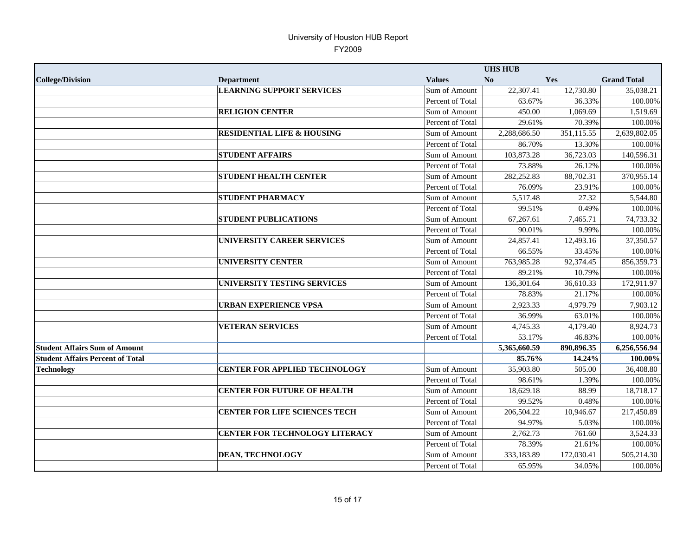|                                         |                                       |                  | <b>UHS HUB</b> |            |                    |
|-----------------------------------------|---------------------------------------|------------------|----------------|------------|--------------------|
| <b>College/Division</b>                 | <b>Department</b>                     | <b>Values</b>    | N <sub>0</sub> | Yes        | <b>Grand Total</b> |
|                                         | <b>LEARNING SUPPORT SERVICES</b>      | Sum of Amount    | 22,307.41      | 12,730.80  | 35.038.21          |
|                                         |                                       | Percent of Total | 63.67%         | 36.33%     | 100.00%            |
|                                         | <b>RELIGION CENTER</b>                | Sum of Amount    | 450.00         | 1,069.69   | 1,519.69           |
|                                         |                                       | Percent of Total | 29.61%         | 70.39%     | 100.00%            |
|                                         | <b>RESIDENTIAL LIFE &amp; HOUSING</b> | Sum of Amount    | 2,288,686.50   | 351,115.55 | 2,639,802.05       |
|                                         |                                       | Percent of Total | 86.70%         | 13.30%     | 100.00%            |
|                                         | <b>STUDENT AFFAIRS</b>                | Sum of Amount    | 103,873.28     | 36,723.03  | 140,596.31         |
|                                         |                                       | Percent of Total | 73.88%         | 26.12%     | 100.00%            |
|                                         | <b>STUDENT HEALTH CENTER</b>          | Sum of Amount    | 282,252.83     | 88,702.31  | 370,955.14         |
|                                         |                                       | Percent of Total | 76.09%         | 23.91%     | 100.00%            |
|                                         | <b>STUDENT PHARMACY</b>               | Sum of Amount    | 5,517.48       | 27.32      | 5,544.80           |
|                                         |                                       | Percent of Total | 99.51%         | 0.49%      | 100.00%            |
|                                         | <b>STUDENT PUBLICATIONS</b>           | Sum of Amount    | 67,267.61      | 7,465.71   | 74,733.32          |
|                                         |                                       | Percent of Total | 90.01%         | 9.99%      | 100.00%            |
|                                         | UNIVERSITY CAREER SERVICES            | Sum of Amount    | 24,857.41      | 12,493.16  | 37,350.57          |
|                                         |                                       | Percent of Total | 66.55%         | 33.45%     | 100.00%            |
|                                         | <b>UNIVERSITY CENTER</b>              | Sum of Amount    | 763,985.28     | 92,374.45  | 856,359.73         |
|                                         |                                       | Percent of Total | 89.21%         | 10.79%     | 100.00%            |
|                                         | UNIVERSITY TESTING SERVICES           | Sum of Amount    | 136,301.64     | 36,610.33  | 172,911.97         |
|                                         |                                       | Percent of Total | 78.83%         | 21.17%     | 100.00%            |
|                                         | <b>URBAN EXPERIENCE VPSA</b>          | Sum of Amount    | 2,923.33       | 4,979.79   | 7,903.12           |
|                                         |                                       | Percent of Total | 36.99%         | 63.01%     | 100.00%            |
|                                         | <b>VETERAN SERVICES</b>               | Sum of Amount    | 4,745.33       | 4,179.40   | 8,924.73           |
|                                         |                                       | Percent of Total | 53.17%         | 46.83%     | 100.00%            |
| <b>Student Affairs Sum of Amount</b>    |                                       |                  | 5,365,660.59   | 890,896.35 | 6,256,556.94       |
| <b>Student Affairs Percent of Total</b> |                                       |                  | 85.76%         | 14.24%     | 100.00%            |
| <b>Technology</b>                       | <b>CENTER FOR APPLIED TECHNOLOGY</b>  | Sum of Amount    | 35,903.80      | 505.00     | 36,408.80          |
|                                         |                                       | Percent of Total | 98.61%         | 1.39%      | 100.00%            |
|                                         | <b>CENTER FOR FUTURE OF HEALTH</b>    | Sum of Amount    | 18,629.18      | 88.99      | 18,718.17          |
|                                         |                                       | Percent of Total | 99.52%         | 0.48%      | 100.00%            |
|                                         | <b>CENTER FOR LIFE SCIENCES TECH</b>  | Sum of Amount    | 206,504.22     | 10,946.67  | 217,450.89         |
|                                         |                                       | Percent of Total | 94.97%         | 5.03%      | 100.00%            |
|                                         | <b>CENTER FOR TECHNOLOGY LITERACY</b> | Sum of Amount    | 2,762.73       | 761.60     | 3,524.33           |
|                                         |                                       | Percent of Total | 78.39%         | 21.61%     | 100.00%            |
|                                         | <b>DEAN, TECHNOLOGY</b>               | Sum of Amount    | 333,183.89     | 172,030.41 | 505,214.30         |
|                                         |                                       | Percent of Total | 65.95%         | 34.05%     | 100.00%            |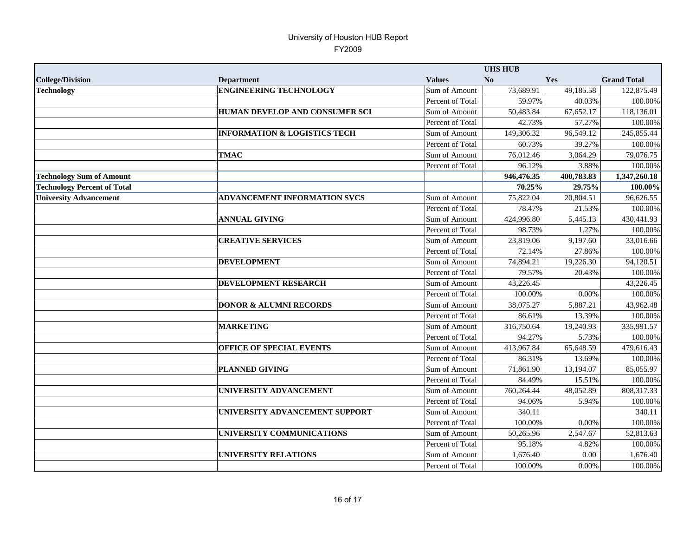|                                    | <b>UHS HUB</b>                          |                  |            |            |                    |
|------------------------------------|-----------------------------------------|------------------|------------|------------|--------------------|
| <b>College/Division</b>            | <b>Department</b>                       | <b>Values</b>    | No         | Yes        | <b>Grand Total</b> |
| <b>Technology</b>                  | <b>ENGINEERING TECHNOLOGY</b>           | Sum of Amount    | 73,689.91  | 49,185.58  | 122,875.49         |
|                                    |                                         | Percent of Total | 59.97%     | 40.03%     | 100.00%            |
|                                    | HUMAN DEVELOP AND CONSUMER SCI          | Sum of Amount    | 50,483.84  | 67,652.17  | 118,136.01         |
|                                    |                                         | Percent of Total | 42.73%     | 57.27%     | 100.00%            |
|                                    | <b>INFORMATION &amp; LOGISTICS TECH</b> | Sum of Amount    | 149,306.32 | 96,549.12  | 245,855.44         |
|                                    |                                         | Percent of Total | 60.73%     | 39.27%     | 100.00%            |
|                                    | <b>TMAC</b>                             | Sum of Amount    | 76,012.46  | 3,064.29   | 79,076.75          |
|                                    |                                         | Percent of Total | 96.12%     | 3.88%      | 100.00%            |
| <b>Technology Sum of Amount</b>    |                                         |                  | 946,476.35 | 400,783.83 | 1,347,260.18       |
| <b>Technology Percent of Total</b> |                                         |                  | 70.25%     | 29.75%     | $100.00\%$         |
| <b>University Advancement</b>      | ADVANCEMENT INFORMATION SVCS            | Sum of Amount    | 75,822.04  | 20,804.51  | 96,626.55          |
|                                    |                                         | Percent of Total | 78.47%     | 21.53%     | 100.00%            |
|                                    | <b>ANNUAL GIVING</b>                    | Sum of Amount    | 424,996.80 | 5,445.13   | 430,441.93         |
|                                    |                                         | Percent of Total | 98.73%     | 1.27%      | 100.00%            |
|                                    | <b>CREATIVE SERVICES</b>                | Sum of Amount    | 23,819.06  | 9,197.60   | 33,016.66          |
|                                    |                                         | Percent of Total | 72.14%     | 27.86%     | 100.00%            |
|                                    | <b>DEVELOPMENT</b>                      | Sum of Amount    | 74,894.21  | 19,226.30  | 94,120.51          |
|                                    |                                         | Percent of Total | 79.57%     | 20.43%     | 100.00%            |
|                                    | DEVELOPMENT RESEARCH                    | Sum of Amount    | 43,226.45  |            | 43,226.45          |
|                                    |                                         | Percent of Total | 100.00%    | 0.00%      | 100.00%            |
|                                    | <b>DONOR &amp; ALUMNI RECORDS</b>       | Sum of Amount    | 38,075.27  | 5,887.21   | 43,962.48          |
|                                    |                                         | Percent of Total | 86.61%     | 13.39%     | 100.00%            |
|                                    | <b>MARKETING</b>                        | Sum of Amount    | 316,750.64 | 19,240.93  | 335,991.57         |
|                                    |                                         | Percent of Total | 94.27%     | 5.73%      | 100.00%            |
|                                    | OFFICE OF SPECIAL EVENTS                | Sum of Amount    | 413,967.84 | 65,648.59  | 479,616.43         |
|                                    |                                         | Percent of Total | 86.31%     | 13.69%     | 100.00%            |
|                                    | <b>PLANNED GIVING</b>                   | Sum of Amount    | 71,861.90  | 13,194.07  | 85,055.97          |
|                                    |                                         | Percent of Total | 84.49%     | 15.51%     | 100.00%            |
|                                    | UNIVERSITY ADVANCEMENT                  | Sum of Amount    | 760,264.44 | 48,052.89  | 808, 317. 33       |
|                                    |                                         | Percent of Total | 94.06%     | 5.94%      | 100.00%            |
|                                    | UNIVERSITY ADVANCEMENT SUPPORT          | Sum of Amount    | 340.11     |            | 340.11             |
|                                    |                                         | Percent of Total | 100.00%    | 0.00%      | 100.00%            |
|                                    | UNIVERSITY COMMUNICATIONS               | Sum of Amount    | 50,265.96  | 2,547.67   | 52,813.63          |
|                                    |                                         | Percent of Total | 95.18%     | 4.82%      | 100.00%            |
|                                    | UNIVERSITY RELATIONS                    | Sum of Amount    | 1,676.40   | 0.00       | 1,676.40           |
|                                    |                                         | Percent of Total | 100.00%    | 0.00%      | 100.00%            |